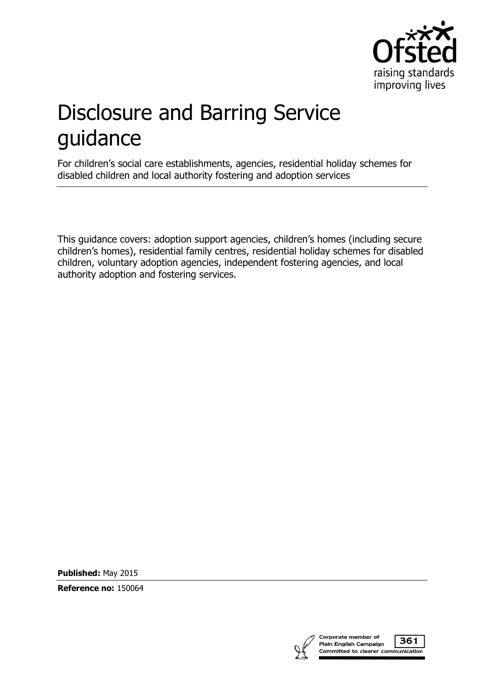

# Disclosure and Barring Service guidance

For children's social care establishments, agencies, residential holiday schemes for disabled children and local authority fostering and adoption services

This guidance covers: adoption support agencies, children's homes (including secure children's homes), residential family centres, residential holiday schemes for disabled children, voluntary adoption agencies, independent fostering agencies, and local authority adoption and fostering services.

**Published:** May 2015

**Reference no:** 150064

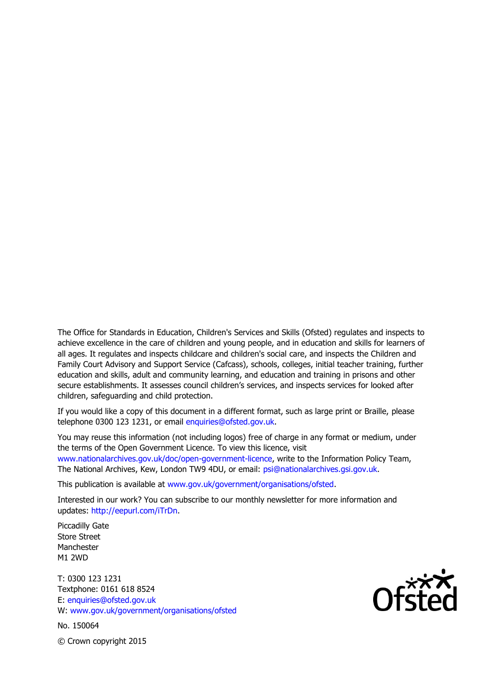The Office for Standards in Education, Children's Services and Skills (Ofsted) regulates and inspects to achieve excellence in the care of children and young people, and in education and skills for learners of all ages. It regulates and inspects childcare and children's social care, and inspects the Children and Family Court Advisory and Support Service (Cafcass), schools, colleges, initial teacher training, further education and skills, adult and community learning, and education and training in prisons and other secure establishments. It assesses council children's services, and inspects services for looked after children, safeguarding and child protection.

If you would like a copy of this document in a different format, such as large print or Braille, please telephone 0300 123 1231, or email enquiries@ofsted.gov.uk.

You may reuse this information (not including logos) free of charge in any format or medium, under the terms of the Open Government Licence. To view this licence, visit www.nationalarchives.gov.uk/doc/open-government-licence, write to the Information Policy Team, The National Archives, Kew, London TW9 4DU, or email: psi@nationalarchives.gsi.gov.uk.

This publication is available at www.gov.uk/government/organisations/ofsted.

Interested in our work? You can subscribe to our monthly newsletter for more information and updates: http://eepurl.com/iTrDn.

Piccadilly Gate Store Street Manchester M1 2WD

T: 0300 123 1231 Textphone: 0161 618 8524 E: enquiries@ofsted.gov.uk W: www.gov.uk/government/organisations/ofsted

No. 150064

 $\mathsf{Of}^{\mathsf{xxx}}_{\mathsf{C}}$ 

© Crown copyright 2015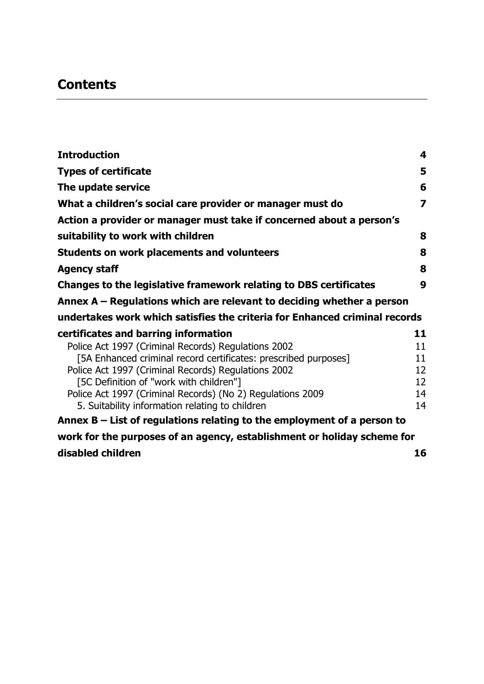# **Contents**

| <b>Introduction</b>                                                        | 4  |
|----------------------------------------------------------------------------|----|
| <b>Types of certificate</b>                                                | 5  |
| The update service                                                         | 6  |
| What a children's social care provider or manager must do                  | 7  |
| Action a provider or manager must take if concerned about a person's       |    |
| suitability to work with children                                          | 8  |
| <b>Students on work placements and volunteers</b>                          | 8  |
| <b>Agency staff</b>                                                        | 8  |
| Changes to the legislative framework relating to DBS certificates          | 9  |
| Annex $A$ – Regulations which are relevant to deciding whether a person    |    |
| undertakes work which satisfies the criteria for Enhanced criminal records |    |
| certificates and barring information                                       | 11 |
| Police Act 1997 (Criminal Records) Regulations 2002                        | 11 |
| [5A Enhanced criminal record certificates: prescribed purposes]            | 11 |
| Police Act 1997 (Criminal Records) Regulations 2002                        | 12 |
| [5C Definition of "work with children"]                                    | 12 |
| Police Act 1997 (Criminal Records) (No 2) Regulations 2009                 | 14 |
| 5. Suitability information relating to children                            | 14 |
| Annex $B -$ List of regulations relating to the employment of a person to  |    |
| work for the purposes of an agency, establishment or holiday scheme for    |    |
| disabled children                                                          | 16 |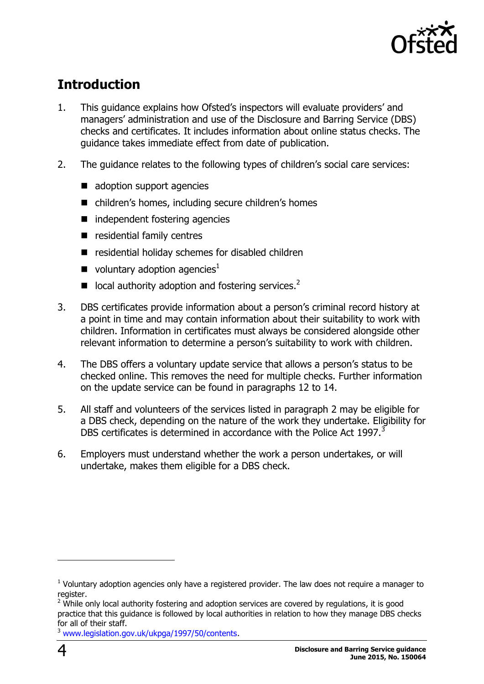

# <span id="page-3-0"></span>**Introduction**

- 1. This guidance explains how Ofsted's inspectors will evaluate providers' and managers' administration and use of the Disclosure and Barring Service (DBS) checks and certificates. It includes information about online status checks. The guidance takes immediate effect from date of publication.
- 2. The guidance relates to the following types of children's social care services:
	- adoption support agencies
	- children's homes, including secure children's homes
	- $\blacksquare$  independent fostering agencies
	- residential family centres
	- residential holiday schemes for disabled children
	- voluntary adoption agencies<sup>1</sup>
	- $\blacksquare$  local authority adoption and fostering services.<sup>2</sup>
- 3. DBS certificates provide information about a person's criminal record history at a point in time and may contain information about their suitability to work with children. Information in certificates must always be considered alongside other relevant information to determine a person's suitability to work with children.
- 4. The DBS offers a voluntary update service that allows a person's status to be checked online. This removes the need for multiple checks. Further information on the update service can be found in paragraphs 12 to 14.
- 5. All staff and volunteers of the services listed in paragraph 2 may be eligible for a DBS check, depending on the nature of the work they undertake. Eligibility for DBS certificates is determined in accordance with the Police Act 1997.<sup>3</sup>
- 6. Employers must understand whether the work a person undertakes, or will undertake, makes them eligible for a DBS check.

 $<sup>1</sup>$  Voluntary adoption agencies only have a registered provider. The law does not require a manager to</sup> register.

 $2$  While only local authority fostering and adoption services are covered by regulations, it is good practice that this guidance is followed by local authorities in relation to how they manage DBS checks for all of their staff.

<sup>3</sup> [www.legislation.gov.uk/ukpga/1997/50/contents.](http://www.legislation.gov.uk/ukpga/1997/50/contents)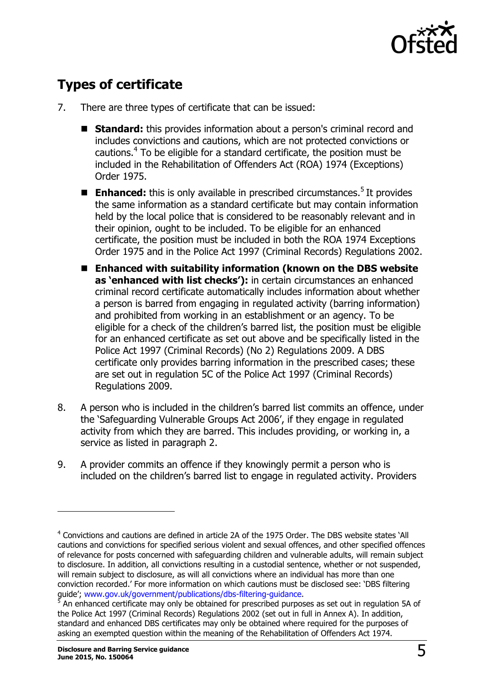

# <span id="page-4-0"></span>**Types of certificate**

- 7. There are three types of certificate that can be issued:
	- **Standard:** this provides information about a person's criminal record and includes convictions and cautions, which are not protected convictions or cautions. 4 To be eligible for a standard certificate, the position must be included in the Rehabilitation of Offenders Act (ROA) 1974 (Exceptions) Order 1975.
	- Enhanced: this is only available in prescribed circumstances.<sup>5</sup> It provides the same information as a standard certificate but may contain information held by the local police that is considered to be reasonably relevant and in their opinion, ought to be included. To be eligible for an enhanced certificate, the position must be included in both the ROA 1974 Exceptions Order 1975 and in the Police Act 1997 (Criminal Records) Regulations 2002.
	- Enhanced with suitability information (known on the DBS website **as 'enhanced with list checks'):** in certain circumstances an enhanced criminal record certificate automatically includes information about whether a person is barred from engaging in regulated activity (barring information) and prohibited from working in an establishment or an agency. To be eligible for a check of the children's barred list, the position must be eligible for an enhanced certificate as set out above and be specifically listed in the Police Act 1997 (Criminal Records) (No 2) Regulations 2009. A DBS certificate only provides barring information in the prescribed cases; these are set out in regulation 5C of the Police Act 1997 (Criminal Records) Regulations 2009.
- 8. A person who is included in the children's barred list commits an offence, under the 'Safeguarding Vulnerable Groups Act 2006', if they engage in regulated activity from which they are barred. This includes providing, or working in, a service as listed in paragraph 2.
- 9. A provider commits an offence if they knowingly permit a person who is included on the children's barred list to engage in regulated activity. Providers

 $\overline{a}$ 

<sup>&</sup>lt;sup>4</sup> Convictions and cautions are defined in article 2A of the 1975 Order. The DBS website states `All cautions and convictions for specified serious violent and sexual offences, and other specified offences of relevance for posts concerned with safeguarding children and vulnerable adults, will remain subject to disclosure. In addition, all convictions resulting in a custodial sentence, whether or not suspended, will remain subject to disclosure, as will all convictions where an individual has more than one conviction recorded.' For more information on which cautions must be disclosed see: 'DBS filtering guide'; [www.gov.uk/government/publications/dbs-filtering-guidance.](http://www.gov.uk/government/publications/dbs-filtering-guidance)

<sup>&</sup>lt;sup>5</sup> An enhanced certificate may only be obtained for prescribed purposes as set out in regulation 5A of the Police Act 1997 (Criminal Records) Regulations 2002 (set out in full in Annex A). In addition, standard and enhanced DBS certificates may only be obtained where required for the purposes of asking an exempted question within the meaning of the Rehabilitation of Offenders Act 1974.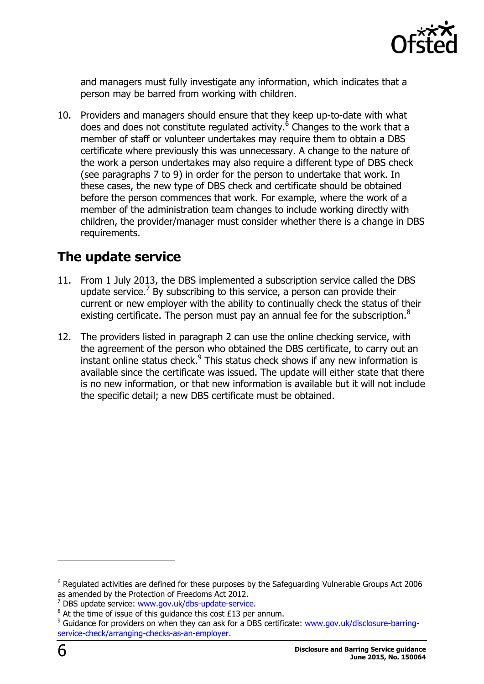

and managers must fully investigate any information, which indicates that a person may be barred from working with children.

10. Providers and managers should ensure that they keep up-to-date with what does and does not constitute regulated activity.<sup>6</sup> Changes to the work that a member of staff or volunteer undertakes may require them to obtain a DBS certificate where previously this was unnecessary. A change to the nature of the work a person undertakes may also require a different type of DBS check (see paragraphs 7 to 9) in order for the person to undertake that work. In these cases, the new type of DBS check and certificate should be obtained before the person commences that work. For example, where the work of a member of the administration team changes to include working directly with children, the provider/manager must consider whether there is a change in DBS requirements.

# <span id="page-5-0"></span>**The update service**

- 11. From 1 July 2013, the DBS implemented a subscription service called the DBS update service.<sup>7</sup> By subscribing to this service, a person can provide their current or new employer with the ability to continually check the status of their existing certificate. The person must pay an annual fee for the subscription. $8$
- 12. The providers listed in paragraph 2 can use the online checking service, with the agreement of the person who obtained the DBS certificate, to carry out an instant online status check.<sup>9</sup> This status check shows if any new information is available since the certificate was issued. The update will either state that there is no new information, or that new information is available but it will not include the specific detail; a new DBS certificate must be obtained.

 $6$  Regulated activities are defined for these purposes by the Safeguarding Vulnerable Groups Act 2006 as amended by the Protection of Freedoms Act 2012.

<sup>&</sup>lt;sup>7</sup> DBS update service: [www.gov.uk/dbs-update-service.](http://www.gov.uk/dbs-update-service)

 $8$  At the time of issue of this guidance this cost £13 per annum.

<sup>&</sup>lt;sup>9</sup> Guidance for providers on when they can ask for a DBS certificate: [www.gov.uk/disclosure-barring](http://www.gov.uk/disclosure-barring-service-check/arranging-checks-as-an-employer)[service-check/arranging-checks-as-an-employer.](http://www.gov.uk/disclosure-barring-service-check/arranging-checks-as-an-employer)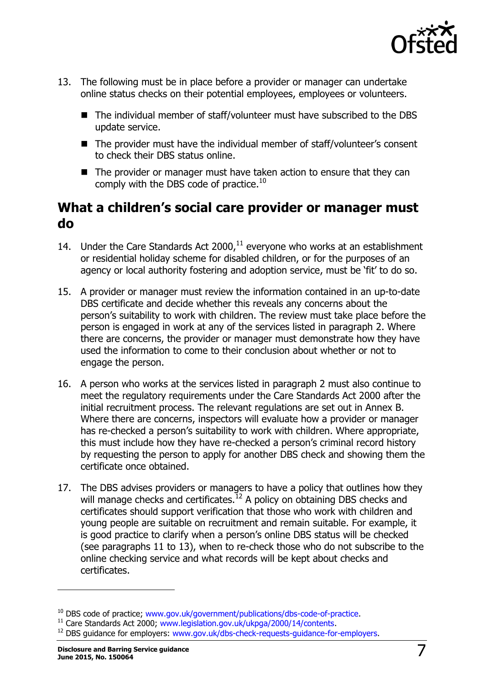

- 13. The following must be in place before a provider or manager can undertake online status checks on their potential employees, employees or volunteers.
	- The individual member of staff/volunteer must have subscribed to the DBS update service.
	- The provider must have the individual member of staff/volunteer's consent to check their DBS status online.
	- The provider or manager must have taken action to ensure that they can comply with the DBS code of practice.<sup>10</sup>

# <span id="page-6-0"></span>**What a children's social care provider or manager must do**

- 14. Under the Care Standards Act  $2000<sub>1</sub><sup>11</sup>$  everyone who works at an establishment or residential holiday scheme for disabled children, or for the purposes of an agency or local authority fostering and adoption service, must be 'fit' to do so.
- 15. A provider or manager must review the information contained in an up-to-date DBS certificate and decide whether this reveals any concerns about the person's suitability to work with children. The review must take place before the person is engaged in work at any of the services listed in paragraph 2. Where there are concerns, the provider or manager must demonstrate how they have used the information to come to their conclusion about whether or not to engage the person.
- 16. A person who works at the services listed in paragraph 2 must also continue to meet the regulatory requirements under the Care Standards Act 2000 after the initial recruitment process. The relevant regulations are set out in Annex B. Where there are concerns, inspectors will evaluate how a provider or manager has re-checked a person's suitability to work with children. Where appropriate, this must include how they have re-checked a person's criminal record history by requesting the person to apply for another DBS check and showing them the certificate once obtained.
- 17. The DBS advises providers or managers to have a policy that outlines how they will manage checks and certificates.<sup>12</sup> A policy on obtaining DBS checks and certificates should support verification that those who work with children and young people are suitable on recruitment and remain suitable. For example, it is good practice to clarify when a person's online DBS status will be checked (see paragraphs 11 to 13), when to re-check those who do not subscribe to the online checking service and what records will be kept about checks and certificates.

-

<sup>&</sup>lt;sup>10</sup> DBS code of practice; [www.gov.uk/government/publications/dbs-code-of-practice.](http://www.gov.uk/government/publications/dbs-code-of-practice)

<sup>&</sup>lt;sup>11</sup> Care Standards Act 2000; [www.legislation.gov.uk/ukpga/2000/14/contents.](http://www.legislation.gov.uk/ukpga/2000/14/contents)

<sup>&</sup>lt;sup>12</sup> DBS guidance for employers: [www.gov.uk/dbs-check-requests-guidance-for-employers.](http://www.gov.uk/dbs-check-requests-guidance-for-employers)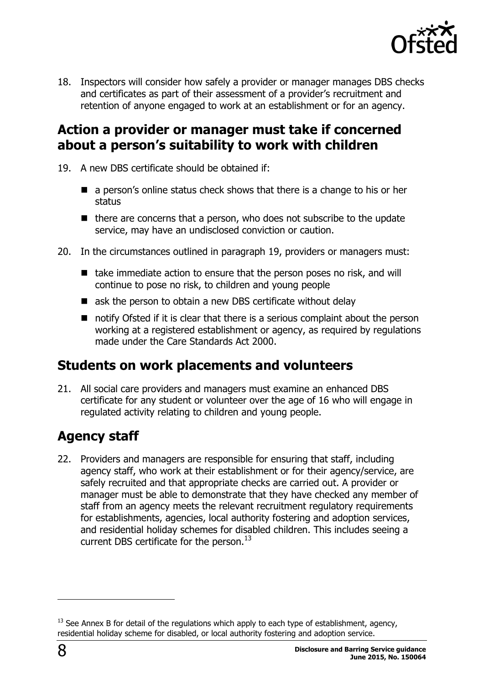

18. Inspectors will consider how safely a provider or manager manages DBS checks and certificates as part of their assessment of a provider's recruitment and retention of anyone engaged to work at an establishment or for an agency.

# <span id="page-7-0"></span>**Action a provider or manager must take if concerned about a person's suitability to work with children**

- 19. A new DBS certificate should be obtained if:
	- **E** a person's online status check shows that there is a change to his or her status
	- $\blacksquare$  there are concerns that a person, who does not subscribe to the update service, may have an undisclosed conviction or caution.
- 20. In the circumstances outlined in paragraph 19, providers or managers must:
	- $\blacksquare$  take immediate action to ensure that the person poses no risk, and will continue to pose no risk, to children and young people
	- ask the person to obtain a new DBS certificate without delay
	- notify Ofsted if it is clear that there is a serious complaint about the person working at a registered establishment or agency, as required by regulations made under the Care Standards Act 2000.

# <span id="page-7-1"></span>**Students on work placements and volunteers**

21. All social care providers and managers must examine an enhanced DBS certificate for any student or volunteer over the age of 16 who will engage in regulated activity relating to children and young people.

# <span id="page-7-2"></span>**Agency staff**

22. Providers and managers are responsible for ensuring that staff, including agency staff, who work at their establishment or for their agency/service, are safely recruited and that appropriate checks are carried out. A provider or manager must be able to demonstrate that they have checked any member of staff from an agency meets the relevant recruitment regulatory requirements for establishments, agencies, local authority fostering and adoption services, and residential holiday schemes for disabled children. This includes seeing a current DBS certificate for the person. $^{13}$ 

 $13$  See Annex B for detail of the regulations which apply to each type of establishment, agency, residential holiday scheme for disabled, or local authority fostering and adoption service.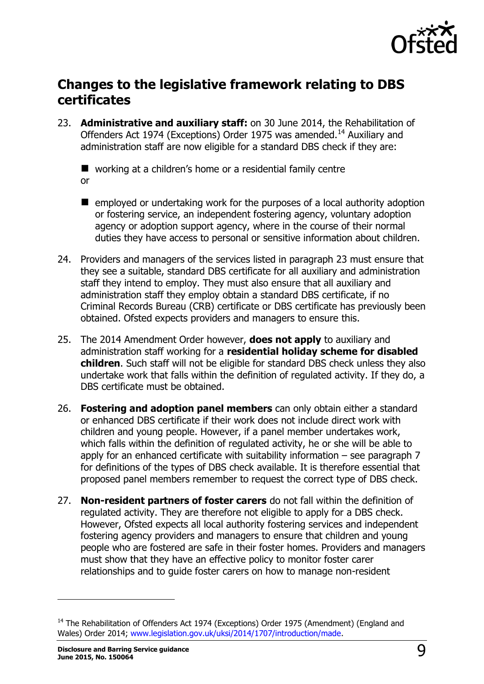

# <span id="page-8-0"></span>**Changes to the legislative framework relating to DBS certificates**

23. **Administrative and auxiliary staff:** on 30 June 2014, the Rehabilitation of Offenders Act 1974 (Exceptions) Order 1975 was amended.<sup>14</sup> Auxiliary and administration staff are now eligible for a standard DBS check if they are:

■ working at a children's home or a residential family centre or

- $\blacksquare$  employed or undertaking work for the purposes of a local authority adoption or fostering service, an independent fostering agency, voluntary adoption agency or adoption support agency, where in the course of their normal duties they have access to personal or sensitive information about children.
- 24. Providers and managers of the services listed in paragraph 23 must ensure that they see a suitable, standard DBS certificate for all auxiliary and administration staff they intend to employ. They must also ensure that all auxiliary and administration staff they employ obtain a standard DBS certificate, if no Criminal Records Bureau (CRB) certificate or DBS certificate has previously been obtained. Ofsted expects providers and managers to ensure this.
- 25. The 2014 Amendment Order however, **does not apply** to auxiliary and administration staff working for a **residential holiday scheme for disabled children**. Such staff will not be eligible for standard DBS check unless they also undertake work that falls within the definition of regulated activity. If they do, a DBS certificate must be obtained.
- 26. **Fostering and adoption panel members** can only obtain either a standard or enhanced DBS certificate if their work does not include direct work with children and young people. However, if a panel member undertakes work, which falls within the definition of regulated activity, he or she will be able to apply for an enhanced certificate with suitability information  $-$  see paragraph  $7$ for definitions of the types of DBS check available. It is therefore essential that proposed panel members remember to request the correct type of DBS check.
- 27. **Non-resident partners of foster carers** do not fall within the definition of regulated activity. They are therefore not eligible to apply for a DBS check. However, Ofsted expects all local authority fostering services and independent fostering agency providers and managers to ensure that children and young people who are fostered are safe in their foster homes. Providers and managers must show that they have an effective policy to monitor foster carer relationships and to guide foster carers on how to manage non-resident

<sup>&</sup>lt;sup>14</sup> The Rehabilitation of Offenders Act 1974 (Exceptions) Order 1975 (Amendment) (England and Wales) Order 2014; [www.legislation.gov.uk/uksi/2014/1707/introduction/made.](http://www.legislation.gov.uk/uksi/2014/1707/introduction/made)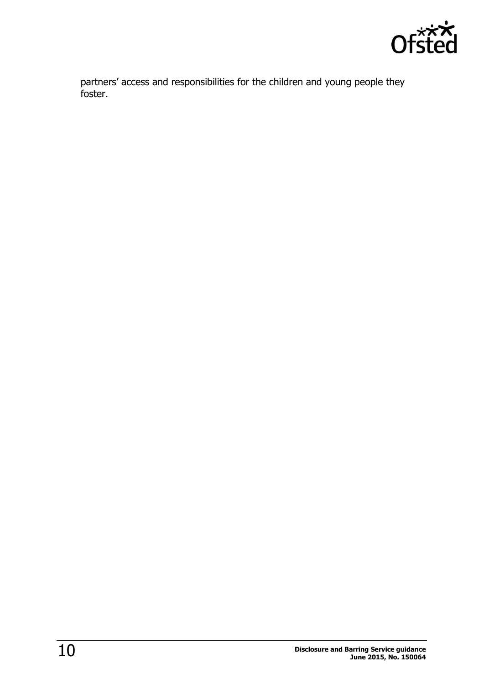

partners' access and responsibilities for the children and young people they foster.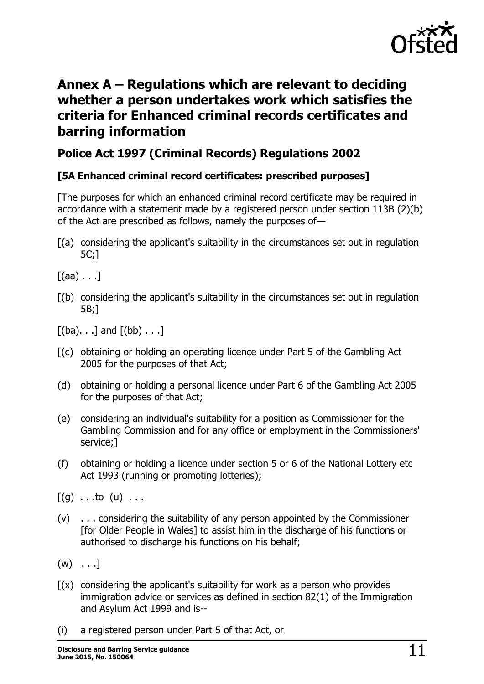

# <span id="page-10-0"></span>**Annex A – Regulations which are relevant to deciding whether a person undertakes work which satisfies the criteria for Enhanced criminal records certificates and barring information**

#### <span id="page-10-1"></span>**Police Act 1997 (Criminal Records) Regulations 2002**

#### <span id="page-10-2"></span>**[5A Enhanced criminal record certificates: prescribed purposes]**

[The purposes for which an enhanced criminal record certificate may be required in accordance with a statement made by a registered person under section 113B (2)(b) of the Act are prescribed as follows, namely the purposes of—

[(a) considering the applicant's suitability in the circumstances set out in regulation 5C;]

 $[(aa) \dots]$ 

[(b) considering the applicant's suitability in the circumstances set out in regulation 5B;]

 $[(ba)$ . . .] and  $[(bb)$ . . .]

- [(c) obtaining or holding an operating licence under Part 5 of the Gambling Act 2005 for the purposes of that Act;
- (d) obtaining or holding a personal licence under Part 6 of the Gambling Act 2005 for the purposes of that Act;
- (e) considering an individual's suitability for a position as Commissioner for the Gambling Commission and for any office or employment in the Commissioners' service;]
- (f) obtaining or holding a licence under section 5 or 6 of the National Lottery etc Act 1993 (running or promoting lotteries);

 $[(g) \dots$ to  $(u) \dots$ 

- (v) . . . considering the suitability of any person appointed by the Commissioner [for Older People in Wales] to assist him in the discharge of his functions or authorised to discharge his functions on his behalf;
- $(w)$  . . . ]
- $f(x)$  considering the applicant's suitability for work as a person who provides immigration advice or services as defined in section 82(1) of the Immigration and Asylum Act 1999 and is--
- (i) a registered person under Part 5 of that Act, or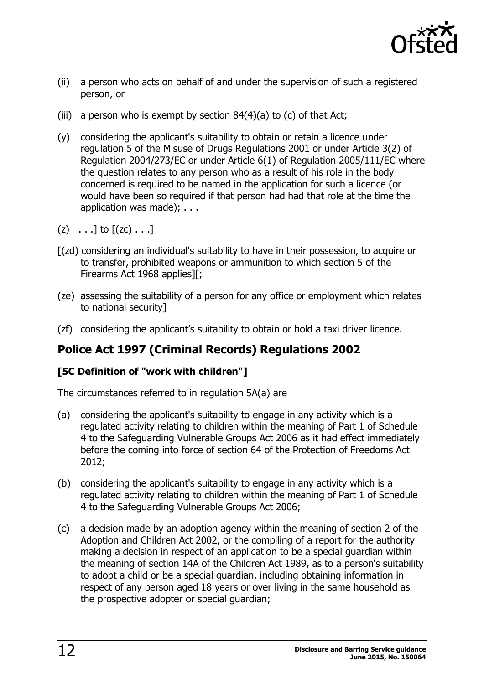

- (ii) a person who acts on behalf of and under the supervision of such a registered person, or
- (iii) a person who is exempt by section  $84(4)(a)$  to (c) of that Act;
- (y) considering the applicant's suitability to obtain or retain a licence under regulation 5 of the Misuse of Drugs Regulations 2001 or under Article 3(2) of Regulation 2004/273/EC or under Article 6(1) of Regulation 2005/111/EC where the question relates to any person who as a result of his role in the body concerned is required to be named in the application for such a licence (or would have been so required if that person had had that role at the time the application was made); . . .
- $(z) \ldots$ ] to  $[(zc) \ldots]$
- [(zd) considering an individual's suitability to have in their possession, to acquire or to transfer, prohibited weapons or ammunition to which section 5 of the Firearms Act 1968 applies][;
- (ze) assessing the suitability of a person for any office or employment which relates to national security]
- (zf) considering the applicant's suitability to obtain or hold a taxi driver licence.

## <span id="page-11-0"></span>**Police Act 1997 (Criminal Records) Regulations 2002**

#### <span id="page-11-1"></span>**[5C Definition of "work with children"]**

The circumstances referred to in regulation 5A(a) are

- (a) considering the applicant's suitability to engage in any activity which is a regulated activity relating to children within the meaning of Part 1 of Schedule 4 to the Safeguarding Vulnerable Groups Act 2006 as it had effect immediately before the coming into force of section 64 of the Protection of Freedoms Act 2012;
- (b) considering the applicant's suitability to engage in any activity which is a regulated activity relating to children within the meaning of Part 1 of Schedule 4 to the Safeguarding Vulnerable Groups Act 2006;
- (c) a decision made by an adoption agency within the meaning of section 2 of the Adoption and Children Act 2002, or the compiling of a report for the authority making a decision in respect of an application to be a special guardian within the meaning of section 14A of the Children Act 1989, as to a person's suitability to adopt a child or be a special guardian, including obtaining information in respect of any person aged 18 years or over living in the same household as the prospective adopter or special guardian;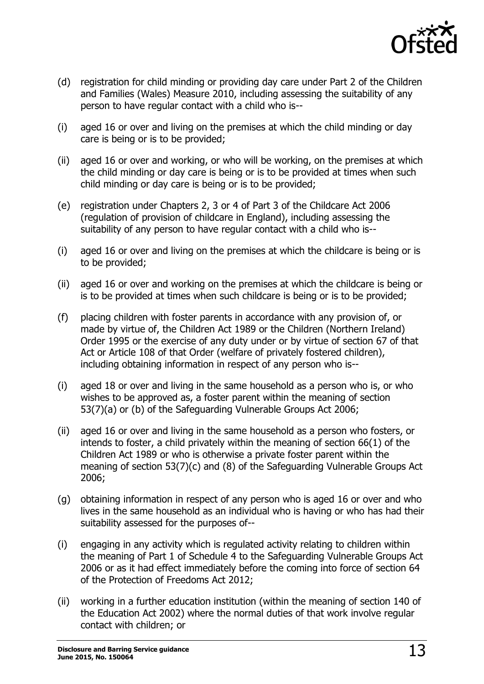

- (d) registration for child minding or providing day care under Part 2 of the Children and Families (Wales) Measure 2010, including assessing the suitability of any person to have regular contact with a child who is--
- (i) aged 16 or over and living on the premises at which the child minding or day care is being or is to be provided;
- (ii) aged 16 or over and working, or who will be working, on the premises at which the child minding or day care is being or is to be provided at times when such child minding or day care is being or is to be provided;
- (e) registration under Chapters 2, 3 or 4 of Part 3 of the Childcare Act 2006 (regulation of provision of childcare in England), including assessing the suitability of any person to have regular contact with a child who is--
- (i) aged 16 or over and living on the premises at which the childcare is being or is to be provided;
- (ii) aged 16 or over and working on the premises at which the childcare is being or is to be provided at times when such childcare is being or is to be provided;
- (f) placing children with foster parents in accordance with any provision of, or made by virtue of, the Children Act 1989 or the Children (Northern Ireland) Order 1995 or the exercise of any duty under or by virtue of section 67 of that Act or Article 108 of that Order (welfare of privately fostered children), including obtaining information in respect of any person who is--
- (i) aged 18 or over and living in the same household as a person who is, or who wishes to be approved as, a foster parent within the meaning of section 53(7)(a) or (b) of the Safeguarding Vulnerable Groups Act 2006;
- (ii) aged 16 or over and living in the same household as a person who fosters, or intends to foster, a child privately within the meaning of section 66(1) of the Children Act 1989 or who is otherwise a private foster parent within the meaning of section 53(7)(c) and (8) of the Safeguarding Vulnerable Groups Act 2006;
- (g) obtaining information in respect of any person who is aged 16 or over and who lives in the same household as an individual who is having or who has had their suitability assessed for the purposes of--
- (i) engaging in any activity which is regulated activity relating to children within the meaning of Part 1 of Schedule 4 to the Safeguarding Vulnerable Groups Act 2006 or as it had effect immediately before the coming into force of section 64 of the Protection of Freedoms Act 2012;
- (ii) working in a further education institution (within the meaning of section 140 of the Education Act 2002) where the normal duties of that work involve regular contact with children; or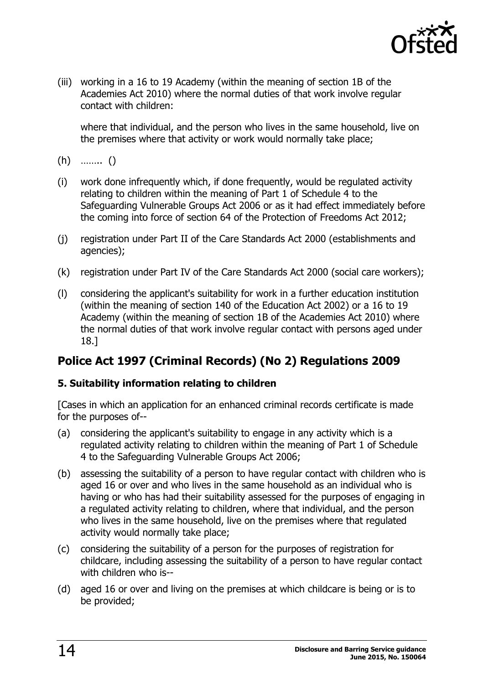

(iii) working in a 16 to 19 Academy (within the meaning of section 1B of the Academies Act 2010) where the normal duties of that work involve regular contact with children:

where that individual, and the person who lives in the same household, live on the premises where that activity or work would normally take place;

- (h) …….. ()
- (i) work done infrequently which, if done frequently, would be regulated activity relating to children within the meaning of Part 1 of Schedule 4 to the Safeguarding Vulnerable Groups Act 2006 or as it had effect immediately before the coming into force of section 64 of the Protection of Freedoms Act 2012;
- (j) registration under Part II of the Care Standards Act 2000 (establishments and agencies);
- (k) registration under Part IV of the Care Standards Act 2000 (social care workers);
- (l) considering the applicant's suitability for work in a further education institution (within the meaning of section 140 of the Education Act 2002) or a 16 to 19 Academy (within the meaning of section 1B of the Academies Act 2010) where the normal duties of that work involve regular contact with persons aged under 18.]

## <span id="page-13-0"></span>**Police Act 1997 (Criminal Records) (No 2) Regulations 2009**

#### <span id="page-13-1"></span>**5. Suitability information relating to children**

[Cases in which an application for an enhanced criminal records certificate is made for the purposes of--

- (a) considering the applicant's suitability to engage in any activity which is a regulated activity relating to children within the meaning of Part 1 of Schedule 4 to the Safeguarding Vulnerable Groups Act 2006;
- (b) assessing the suitability of a person to have regular contact with children who is aged 16 or over and who lives in the same household as an individual who is having or who has had their suitability assessed for the purposes of engaging in a regulated activity relating to children, where that individual, and the person who lives in the same household, live on the premises where that regulated activity would normally take place;
- (c) considering the suitability of a person for the purposes of registration for childcare, including assessing the suitability of a person to have regular contact with children who is--
- (d) aged 16 or over and living on the premises at which childcare is being or is to be provided;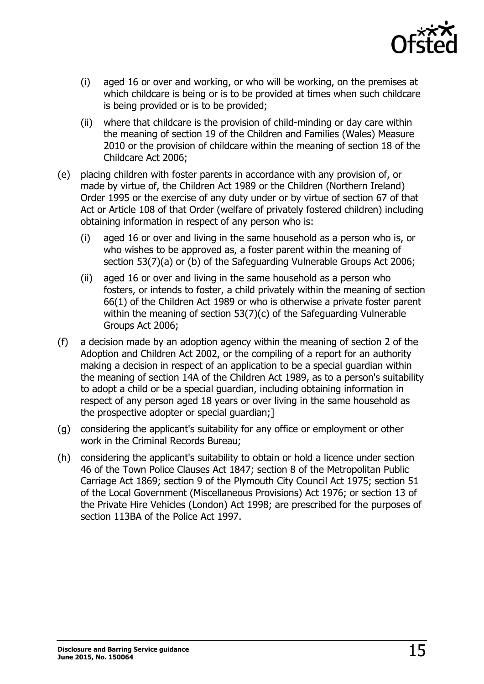

- (i) aged 16 or over and working, or who will be working, on the premises at which childcare is being or is to be provided at times when such childcare is being provided or is to be provided;
- (ii) where that childcare is the provision of child-minding or day care within the meaning of section 19 of the Children and Families (Wales) Measure 2010 or the provision of childcare within the meaning of section 18 of the Childcare Act 2006;
- (e) placing children with foster parents in accordance with any provision of, or made by virtue of, the Children Act 1989 or the Children (Northern Ireland) Order 1995 or the exercise of any duty under or by virtue of section 67 of that Act or Article 108 of that Order (welfare of privately fostered children) including obtaining information in respect of any person who is:
	- (i) aged 16 or over and living in the same household as a person who is, or who wishes to be approved as, a foster parent within the meaning of section 53(7)(a) or (b) of the Safeguarding Vulnerable Groups Act 2006;
	- (ii) aged 16 or over and living in the same household as a person who fosters, or intends to foster, a child privately within the meaning of section 66(1) of the Children Act 1989 or who is otherwise a private foster parent within the meaning of section 53(7)(c) of the Safeguarding Vulnerable Groups Act 2006;
- (f) a decision made by an adoption agency within the meaning of section 2 of the Adoption and Children Act 2002, or the compiling of a report for an authority making a decision in respect of an application to be a special guardian within the meaning of section 14A of the Children Act 1989, as to a person's suitability to adopt a child or be a special guardian, including obtaining information in respect of any person aged 18 years or over living in the same household as the prospective adopter or special guardian;]
- (g) considering the applicant's suitability for any office or employment or other work in the Criminal Records Bureau;
- (h) considering the applicant's suitability to obtain or hold a licence under section 46 of the Town Police Clauses Act 1847; section 8 of the Metropolitan Public Carriage Act 1869; section 9 of the Plymouth City Council Act 1975; section 51 of the Local Government (Miscellaneous Provisions) Act 1976; or section 13 of the Private Hire Vehicles (London) Act 1998; are prescribed for the purposes of section 113BA of the Police Act 1997.